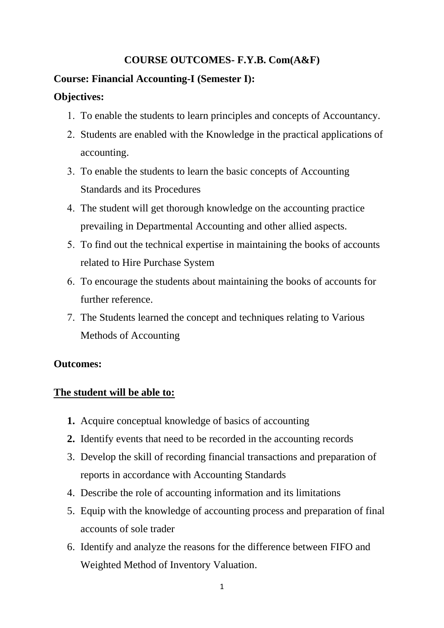## **COURSE OUTCOMES- F.Y.B. Com(A&F)**

#### **Course: Financial Accounting-I (Semester I):**

#### **Objectives:**

- To enable the students to learn principles and concepts of Accountancy.
- 2. Students are enabled with the Knowledge in the practical applications of accounting.
- To enable the students to learn the basic concepts of Accounting Standards and its Procedures
- The student will get thorough knowledge on the accounting practice prevailing in Departmental Accounting and other allied aspects.
- To find out the technical expertise in maintaining the books of accounts related to Hire Purchase System
- To encourage the students about maintaining the books of accounts for further reference.
- 7. The Students learned the concept and techniques relating to Various Methods of Accounting

#### **Outcomes:**

#### **The student will be able to:**

- **1.** Acquire conceptual knowledge of basics of accounting
- **2.** Identify events that need to be recorded in the accounting records
- 3. Develop the skill of recording financial transactions and preparation of reports in accordance with Accounting Standards
- 4. Describe the role of accounting information and its limitations
- 5. Equip with the knowledge of accounting process and preparation of final accounts of sole trader
- 6. Identify and analyze the reasons for the difference between FIFO and Weighted Method of Inventory Valuation.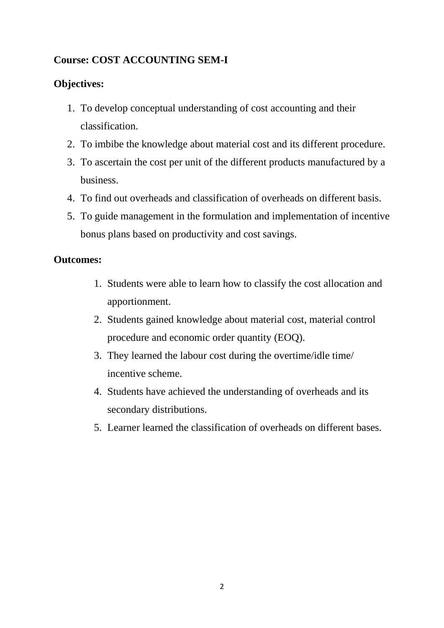# **Course: COST ACCOUNTING SEM-I**

# **Objectives:**

- 1. To develop conceptual understanding of cost accounting and their classification.
- 2. To imbibe the knowledge about material cost and its different procedure.
- 3. To ascertain the cost per unit of the different products manufactured by a business.
- 4. To find out overheads and classification of overheads on different basis.
- 5. To guide management in the formulation and implementation of incentive bonus plans based on productivity and cost savings.

- 1. Students were able to learn how to classify the cost allocation and apportionment.
- 2. Students gained knowledge about material cost, material control procedure and economic order quantity (EOQ).
- 3. They learned the labour cost during the overtime/idle time/ incentive scheme.
- 4. Students have achieved the understanding of overheads and its secondary distributions.
- 5. Learner learned the classification of overheads on different bases.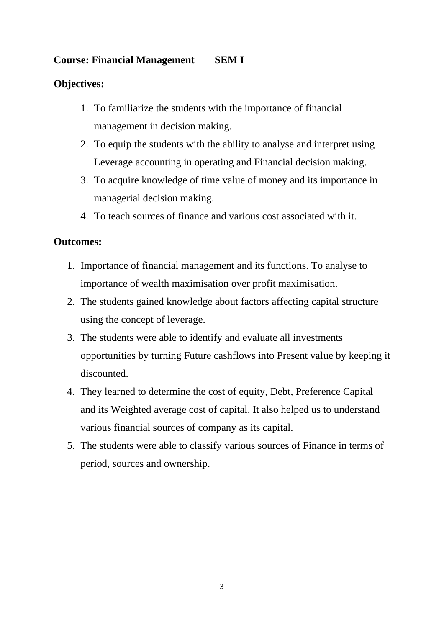# **Course: Financial Management SEM I**

## **Objectives:**

- 1. To familiarize the students with the importance of financial management in decision making.
- 2. To equip the students with the ability to analyse and interpret using Leverage accounting in operating and Financial decision making.
- 3. To acquire knowledge of time value of money and its importance in managerial decision making.
- 4. To teach sources of finance and various cost associated with it.

- 1. Importance of financial management and its functions. To analyse to importance of wealth maximisation over profit maximisation.
- 2. The students gained knowledge about factors affecting capital structure using the concept of leverage.
- 3. The students were able to identify and evaluate all investments opportunities by turning Future cashflows into Present value by keeping it discounted.
- 4. They learned to determine the cost of equity, Debt, Preference Capital and its Weighted average cost of capital. It also helped us to understand various financial sources of company as its capital.
- 5. The students were able to classify various sources of Finance in terms of period, sources and ownership.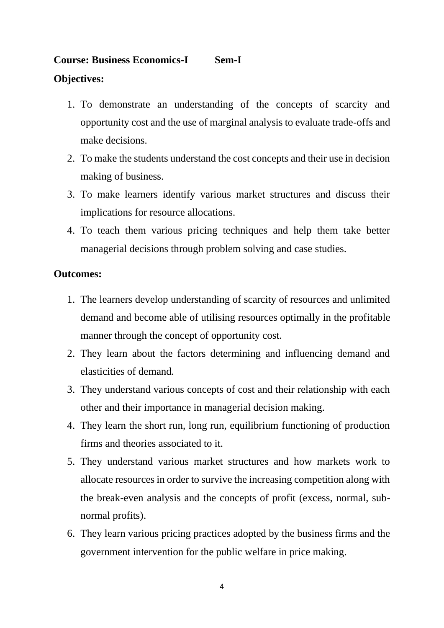# **Course: Business Economics-I Sem-I Objectives:**

- 1. To demonstrate an understanding of the concepts of scarcity and opportunity cost and the use of marginal analysis to evaluate trade-offs and make decisions.
- 2. To make the students understand the cost concepts and their use in decision making of business.
- 3. To make learners identify various market structures and discuss their implications for resource allocations.
- 4. To teach them various pricing techniques and help them take better managerial decisions through problem solving and case studies.

- 1. The learners develop understanding of scarcity of resources and unlimited demand and become able of utilising resources optimally in the profitable manner through the concept of opportunity cost.
- 2. They learn about the factors determining and influencing demand and elasticities of demand.
- 3. They understand various concepts of cost and their relationship with each other and their importance in managerial decision making.
- 4. They learn the short run, long run, equilibrium functioning of production firms and theories associated to it.
- 5. They understand various market structures and how markets work to allocate resources in order to survive the increasing competition along with the break-even analysis and the concepts of profit (excess, normal, subnormal profits).
- 6. They learn various pricing practices adopted by the business firms and the government intervention for the public welfare in price making.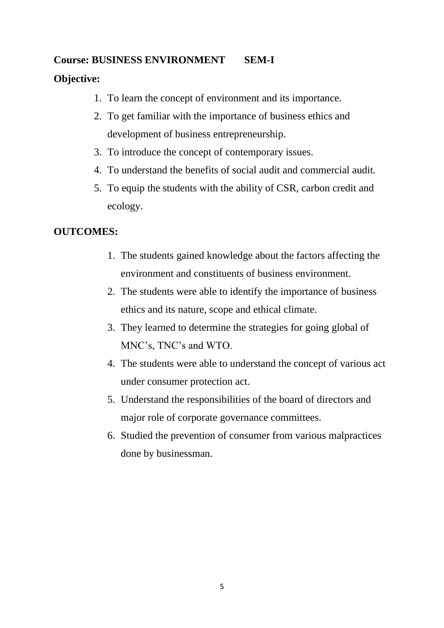# **Course: BUSINESS ENVIRONMENT SEM-I**

# **Objective:**

- 1. To learn the concept of environment and its importance.
- 2. To get familiar with the importance of business ethics and development of business entrepreneurship.
- 3. To introduce the concept of contemporary issues.
- 4. To understand the benefits of social audit and commercial audit.
- 5. To equip the students with the ability of CSR, carbon credit and ecology.

# **OUTCOMES:**

- 1. The students gained knowledge about the factors affecting the environment and constituents of business environment.
- 2. The students were able to identify the importance of business ethics and its nature, scope and ethical climate.
- 3. They learned to determine the strategies for going global of MNC's, TNC's and WTO.
- 4. The students were able to understand the concept of various act under consumer protection act.
- 5. Understand the responsibilities of the board of directors and major role of corporate governance committees.
- 6. Studied the prevention of consumer from various malpractices done by businessman.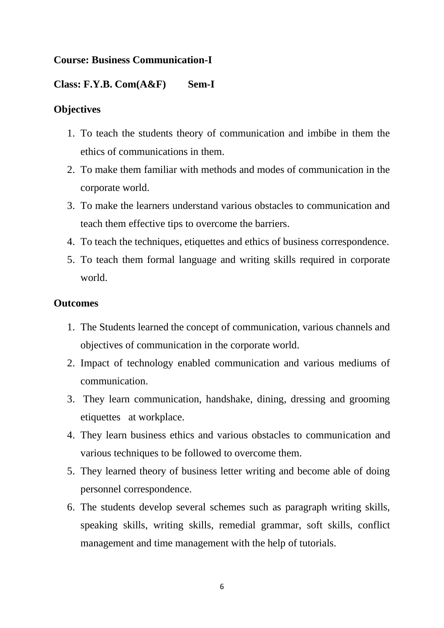## **Course: Business Communication-I**

#### **Class: F.Y.B. Com(A&F) Sem-I**

#### **Objectives**

- 1. To teach the students theory of communication and imbibe in them the ethics of communications in them.
- 2. To make them familiar with methods and modes of communication in the corporate world.
- 3. To make the learners understand various obstacles to communication and teach them effective tips to overcome the barriers.
- 4. To teach the techniques, etiquettes and ethics of business correspondence.
- 5. To teach them formal language and writing skills required in corporate world.

- 1. The Students learned the concept of communication, various channels and objectives of communication in the corporate world.
- 2. Impact of technology enabled communication and various mediums of communication.
- 3. They learn communication, handshake, dining, dressing and grooming etiquettes at workplace.
- 4. They learn business ethics and various obstacles to communication and various techniques to be followed to overcome them.
- 5. They learned theory of business letter writing and become able of doing personnel correspondence.
- 6. The students develop several schemes such as paragraph writing skills, speaking skills, writing skills, remedial grammar, soft skills, conflict management and time management with the help of tutorials.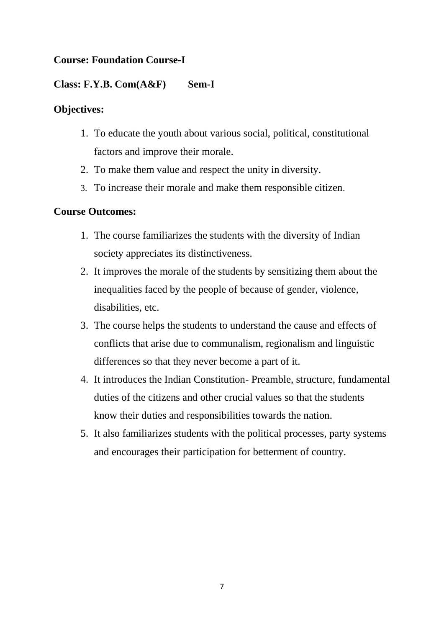# **Course: Foundation Course-I**

## **Class: F.Y.B. Com(A&F) Sem-I**

## **Objectives:**

- 1. To educate the youth about various social, political, constitutional factors and improve their morale.
- 2. To make them value and respect the unity in diversity.
- 3. To increase their morale and make them responsible citizen.

## **Course Outcomes:**

- 1. The course familiarizes the students with the diversity of Indian society appreciates its distinctiveness.
- 2. It improves the morale of the students by sensitizing them about the inequalities faced by the people of because of gender, violence, disabilities, etc.
- 3. The course helps the students to understand the cause and effects of conflicts that arise due to communalism, regionalism and linguistic differences so that they never become a part of it.
- 4. It introduces the Indian Constitution- Preamble, structure, fundamental duties of the citizens and other crucial values so that the students know their duties and responsibilities towards the nation.
- 5. It also familiarizes students with the political processes, party systems and encourages their participation for betterment of country.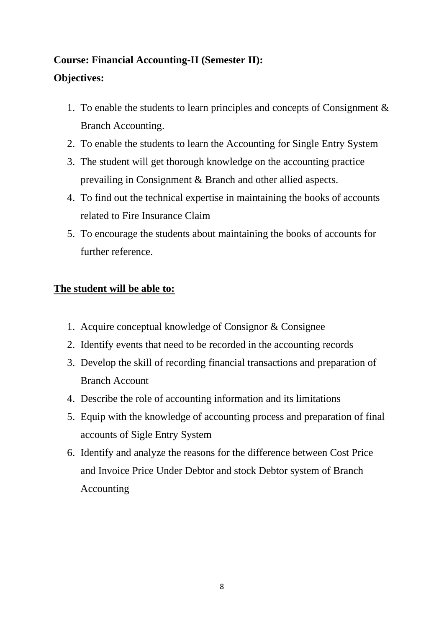# **Course: Financial Accounting-II (Semester II): Objectives:**

- 1. To enable the students to learn principles and concepts of Consignment & Branch Accounting.
- 2. To enable the students to learn the Accounting for Single Entry System
- 3. The student will get thorough knowledge on the accounting practice prevailing in Consignment & Branch and other allied aspects.
- 4. To find out the technical expertise in maintaining the books of accounts related to Fire Insurance Claim
- 5. To encourage the students about maintaining the books of accounts for further reference.

# **The student will be able to:**

- 1. Acquire conceptual knowledge of Consignor & Consignee
- 2. Identify events that need to be recorded in the accounting records
- 3. Develop the skill of recording financial transactions and preparation of Branch Account
- 4. Describe the role of accounting information and its limitations
- 5. Equip with the knowledge of accounting process and preparation of final accounts of Sigle Entry System
- 6. Identify and analyze the reasons for the difference between Cost Price and Invoice Price Under Debtor and stock Debtor system of Branch Accounting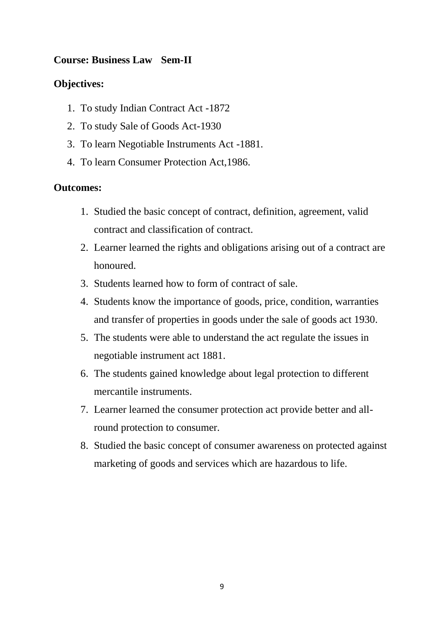## **Course: Business Law Sem-II**

## **Objectives:**

- 1. To study Indian Contract Act -1872
- 2. To study Sale of Goods Act-1930
- 3. To learn Negotiable Instruments Act -1881.
- 4. To learn Consumer Protection Act,1986.

- 1. Studied the basic concept of contract, definition, agreement, valid contract and classification of contract.
- 2. Learner learned the rights and obligations arising out of a contract are honoured.
- 3. Students learned how to form of contract of sale.
- 4. Students know the importance of goods, price, condition, warranties and transfer of properties in goods under the sale of goods act 1930.
- 5. The students were able to understand the act regulate the issues in negotiable instrument act 1881.
- 6. The students gained knowledge about legal protection to different mercantile instruments.
- 7. Learner learned the consumer protection act provide better and allround protection to consumer.
- 8. Studied the basic concept of consumer awareness on protected against marketing of goods and services which are hazardous to life.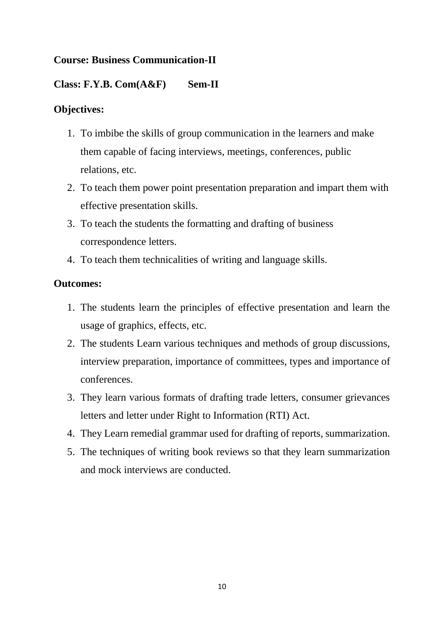# **Course: Business Communication-II**

# **Class: F.Y.B. Com(A&F) Sem-II**

## **Objectives:**

- 1. To imbibe the skills of group communication in the learners and make them capable of facing interviews, meetings, conferences, public relations, etc.
- 2. To teach them power point presentation preparation and impart them with effective presentation skills.
- 3. To teach the students the formatting and drafting of business correspondence letters.
- 4. To teach them technicalities of writing and language skills.

- 1. The students learn the principles of effective presentation and learn the usage of graphics, effects, etc.
- 2. The students Learn various techniques and methods of group discussions, interview preparation, importance of committees, types and importance of conferences.
- 3. They learn various formats of drafting trade letters, consumer grievances letters and letter under Right to Information (RTI) Act.
- 4. They Learn remedial grammar used for drafting of reports, summarization.
- 5. The techniques of writing book reviews so that they learn summarization and mock interviews are conducted.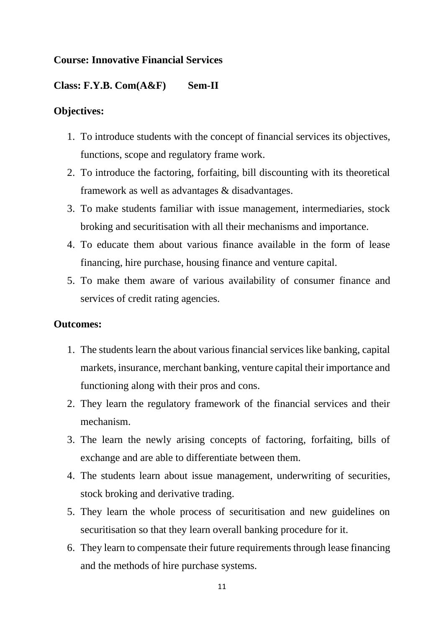#### **Course: Innovative Financial Services**

#### **Class: F.Y.B. Com(A&F) Sem-II**

#### **Objectives:**

- 1. To introduce students with the concept of financial services its objectives, functions, scope and regulatory frame work.
- 2. To introduce the factoring, forfaiting, bill discounting with its theoretical framework as well as advantages & disadvantages.
- 3. To make students familiar with issue management, intermediaries, stock broking and securitisation with all their mechanisms and importance.
- 4. To educate them about various finance available in the form of lease financing, hire purchase, housing finance and venture capital.
- 5. To make them aware of various availability of consumer finance and services of credit rating agencies.

- 1. The students learn the about various financial services like banking, capital markets, insurance, merchant banking, venture capital their importance and functioning along with their pros and cons.
- 2. They learn the regulatory framework of the financial services and their mechanism.
- 3. The learn the newly arising concepts of factoring, forfaiting, bills of exchange and are able to differentiate between them.
- 4. The students learn about issue management, underwriting of securities, stock broking and derivative trading.
- 5. They learn the whole process of securitisation and new guidelines on securitisation so that they learn overall banking procedure for it.
- 6. They learn to compensate their future requirements through lease financing and the methods of hire purchase systems.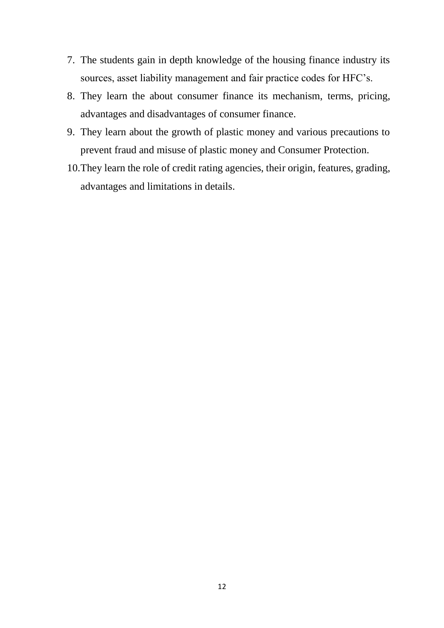- 7. The students gain in depth knowledge of the housing finance industry its sources, asset liability management and fair practice codes for HFC's.
- 8. They learn the about consumer finance its mechanism, terms, pricing, advantages and disadvantages of consumer finance.
- 9. They learn about the growth of plastic money and various precautions to prevent fraud and misuse of plastic money and Consumer Protection.
- 10.They learn the role of credit rating agencies, their origin, features, grading, advantages and limitations in details.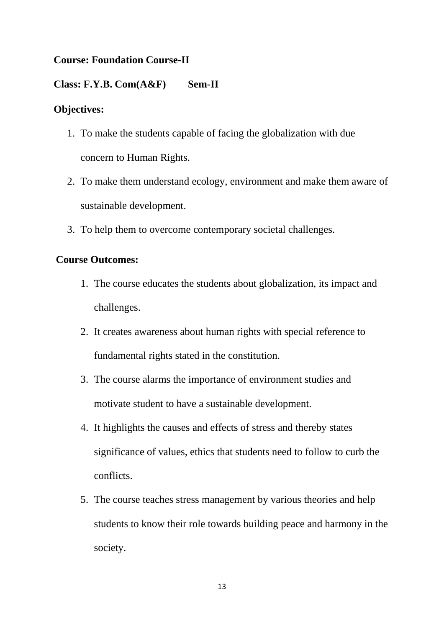# **Course: Foundation Course-II**

#### **Class: F.Y.B. Com(A&F) Sem-II**

#### **Objectives:**

- 1. To make the students capable of facing the globalization with due concern to Human Rights.
- 2. To make them understand ecology, environment and make them aware of sustainable development.
- 3. To help them to overcome contemporary societal challenges.

#### **Course Outcomes:**

- 1. The course educates the students about globalization, its impact and challenges.
- 2. It creates awareness about human rights with special reference to fundamental rights stated in the constitution.
- 3. The course alarms the importance of environment studies and motivate student to have a sustainable development.
- 4. It highlights the causes and effects of stress and thereby states significance of values, ethics that students need to follow to curb the conflicts.
- 5. The course teaches stress management by various theories and help students to know their role towards building peace and harmony in the society.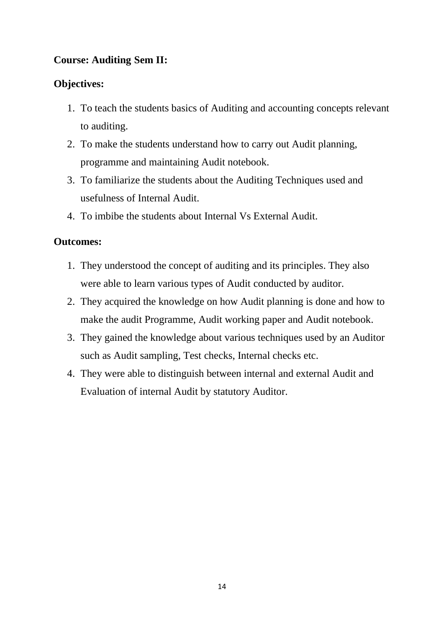# **Course: Auditing Sem II:**

# **Objectives:**

- 1. To teach the students basics of Auditing and accounting concepts relevant to auditing.
- 2. To make the students understand how to carry out Audit planning, programme and maintaining Audit notebook.
- 3. To familiarize the students about the Auditing Techniques used and usefulness of Internal Audit.
- 4. To imbibe the students about Internal Vs External Audit.

- 1. They understood the concept of auditing and its principles. They also were able to learn various types of Audit conducted by auditor.
- 2. They acquired the knowledge on how Audit planning is done and how to make the audit Programme, Audit working paper and Audit notebook.
- 3. They gained the knowledge about various techniques used by an Auditor such as Audit sampling, Test checks, Internal checks etc.
- 4. They were able to distinguish between internal and external Audit and Evaluation of internal Audit by statutory Auditor.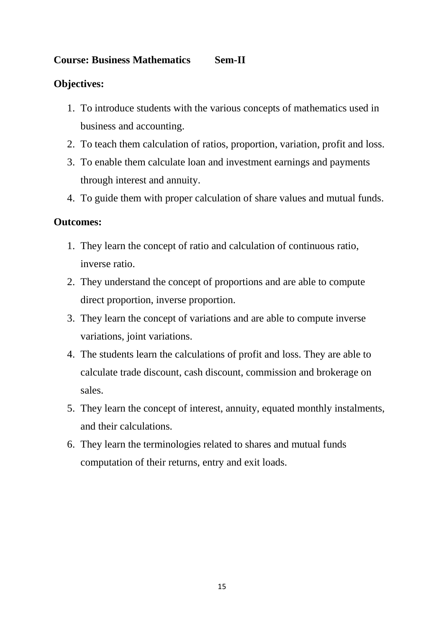## **Course: Business Mathematics Sem-II**

## **Objectives:**

- 1. To introduce students with the various concepts of mathematics used in business and accounting.
- 2. To teach them calculation of ratios, proportion, variation, profit and loss.
- 3. To enable them calculate loan and investment earnings and payments through interest and annuity.
- 4. To guide them with proper calculation of share values and mutual funds.

- 1. They learn the concept of ratio and calculation of continuous ratio, inverse ratio.
- 2. They understand the concept of proportions and are able to compute direct proportion, inverse proportion.
- 3. They learn the concept of variations and are able to compute inverse variations, joint variations.
- 4. The students learn the calculations of profit and loss. They are able to calculate trade discount, cash discount, commission and brokerage on sales.
- 5. They learn the concept of interest, annuity, equated monthly instalments, and their calculations.
- 6. They learn the terminologies related to shares and mutual funds computation of their returns, entry and exit loads.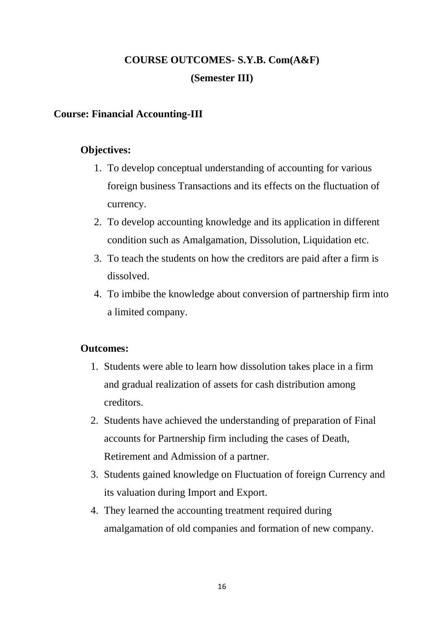# **COURSE OUTCOMES- S.Y.B. Com(A&F) (Semester III)**

## **Course: Financial Accounting-III**

## **Objectives:**

- 1. To develop conceptual understanding of accounting for various foreign business Transactions and its effects on the fluctuation of currency.
- 2. To develop accounting knowledge and its application in different condition such as Amalgamation, Dissolution, Liquidation etc.
- 3. To teach the students on how the creditors are paid after a firm is dissolved.
- 4. To imbibe the knowledge about conversion of partnership firm into a limited company.

- 1. Students were able to learn how dissolution takes place in a firm and gradual realization of assets for cash distribution among creditors.
- 2. Students have achieved the understanding of preparation of Final accounts for Partnership firm including the cases of Death, Retirement and Admission of a partner.
- 3. Students gained knowledge on Fluctuation of foreign Currency and its valuation during Import and Export.
- 4. They learned the accounting treatment required during amalgamation of old companies and formation of new company.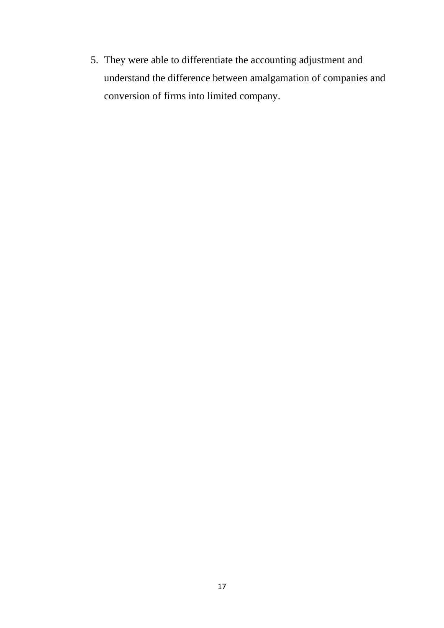5. They were able to differentiate the accounting adjustment and understand the difference between amalgamation of companies and conversion of firms into limited company.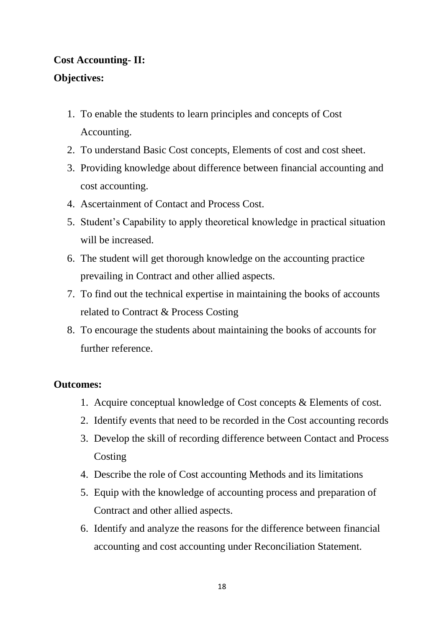# **Cost Accounting- II:**

# **Objectives:**

- 1. To enable the students to learn principles and concepts of Cost Accounting.
- 2. To understand Basic Cost concepts, Elements of cost and cost sheet.
- 3. Providing knowledge about difference between financial accounting and cost accounting.
- 4. Ascertainment of Contact and Process Cost.
- 5. Student's Capability to apply theoretical knowledge in practical situation will be increased.
- 6. The student will get thorough knowledge on the accounting practice prevailing in Contract and other allied aspects.
- 7. To find out the technical expertise in maintaining the books of accounts related to Contract & Process Costing
- 8. To encourage the students about maintaining the books of accounts for further reference.

- 1. Acquire conceptual knowledge of Cost concepts & Elements of cost.
- 2. Identify events that need to be recorded in the Cost accounting records
- 3. Develop the skill of recording difference between Contact and Process **Costing**
- 4. Describe the role of Cost accounting Methods and its limitations
- 5. Equip with the knowledge of accounting process and preparation of Contract and other allied aspects.
- 6. Identify and analyze the reasons for the difference between financial accounting and cost accounting under Reconciliation Statement.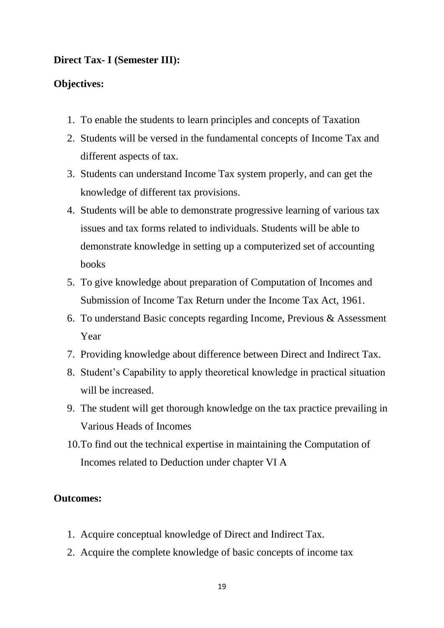#### **Direct Tax- I (Semester III):**

#### **Objectives:**

- 1. To enable the students to learn principles and concepts of Taxation
- 2. Students will be versed in the fundamental concepts of Income Tax and different aspects of tax.
- 3. Students can understand Income Tax system properly, and can get the knowledge of different tax provisions.
- 4. Students will be able to demonstrate progressive learning of various tax issues and tax forms related to individuals. Students will be able to demonstrate knowledge in setting up a computerized set of accounting books
- 5. To give knowledge about preparation of Computation of Incomes and Submission of Income Tax Return under the Income Tax Act, 1961.
- 6. To understand Basic concepts regarding Income, Previous & Assessment Year
- 7. Providing knowledge about difference between Direct and Indirect Tax.
- 8. Student's Capability to apply theoretical knowledge in practical situation will be increased.
- 9. The student will get thorough knowledge on the tax practice prevailing in Various Heads of Incomes
- 10.To find out the technical expertise in maintaining the Computation of Incomes related to Deduction under chapter VI A

- 1. Acquire conceptual knowledge of Direct and Indirect Tax.
- 2. Acquire the complete knowledge of basic concepts of income tax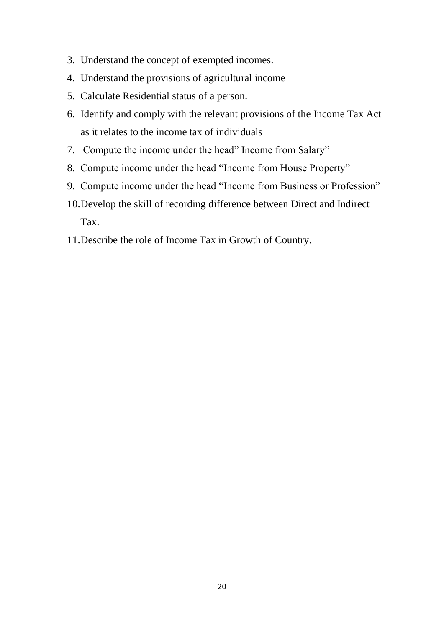- 3. Understand the concept of exempted incomes.
- 4. Understand the provisions of agricultural income
- 5. Calculate Residential status of a person.
- 6. Identify and comply with the relevant provisions of the Income Tax Act as it relates to the income tax of individuals
- 7. Compute the income under the head" Income from Salary"
- 8. Compute income under the head "Income from House Property"
- 9. Compute income under the head "Income from Business or Profession"
- 10.Develop the skill of recording difference between Direct and Indirect Tax.
- 11.Describe the role of Income Tax in Growth of Country.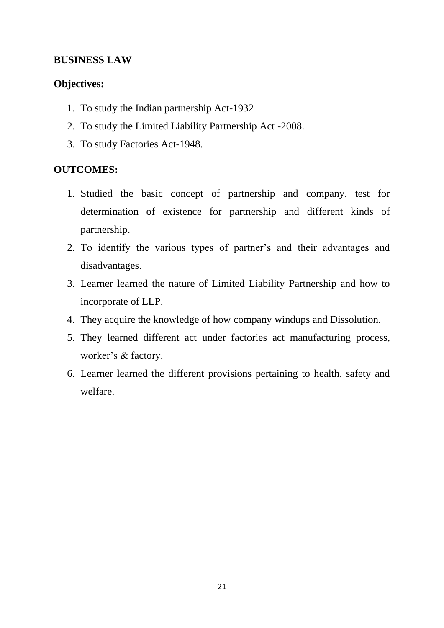### **BUSINESS LAW**

#### **Objectives:**

- 1. To study the Indian partnership Act-1932
- 2. To study the Limited Liability Partnership Act -2008.
- 3. To study Factories Act-1948.

#### **OUTCOMES:**

- 1. Studied the basic concept of partnership and company, test for determination of existence for partnership and different kinds of partnership.
- 2. To identify the various types of partner's and their advantages and disadvantages.
- 3. Learner learned the nature of Limited Liability Partnership and how to incorporate of LLP.
- 4. They acquire the knowledge of how company windups and Dissolution.
- 5. They learned different act under factories act manufacturing process, worker's & factory.
- 6. Learner learned the different provisions pertaining to health, safety and welfare.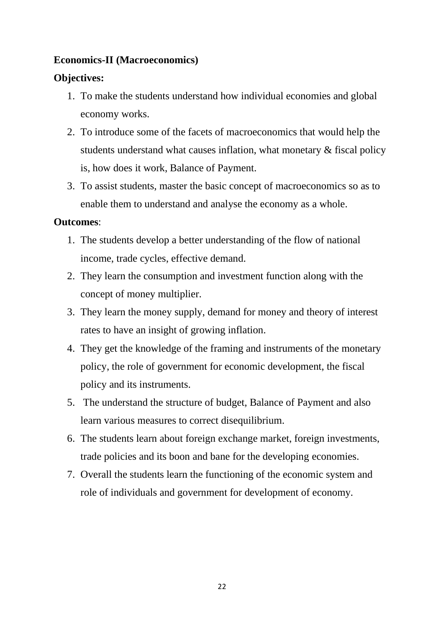## **Economics-II (Macroeconomics)**

# **Objectives:**

- 1. To make the students understand how individual economies and global economy works.
- 2. To introduce some of the facets of macroeconomics that would help the students understand what causes inflation, what monetary & fiscal policy is, how does it work, Balance of Payment.
- 3. To assist students, master the basic concept of macroeconomics so as to enable them to understand and analyse the economy as a whole.

- 1. The students develop a better understanding of the flow of national income, trade cycles, effective demand.
- 2. They learn the consumption and investment function along with the concept of money multiplier.
- 3. They learn the money supply, demand for money and theory of interest rates to have an insight of growing inflation.
- 4. They get the knowledge of the framing and instruments of the monetary policy, the role of government for economic development, the fiscal policy and its instruments.
- 5. The understand the structure of budget, Balance of Payment and also learn various measures to correct disequilibrium.
- 6. The students learn about foreign exchange market, foreign investments, trade policies and its boon and bane for the developing economies.
- 7. Overall the students learn the functioning of the economic system and role of individuals and government for development of economy.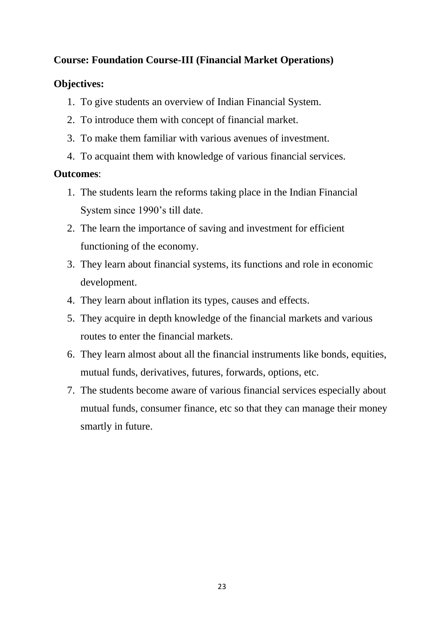# **Course: Foundation Course-III (Financial Market Operations)**

# **Objectives:**

- 1. To give students an overview of Indian Financial System.
- 2. To introduce them with concept of financial market.
- 3. To make them familiar with various avenues of investment.
- 4. To acquaint them with knowledge of various financial services.

- 1. The students learn the reforms taking place in the Indian Financial System since 1990's till date.
- 2. The learn the importance of saving and investment for efficient functioning of the economy.
- 3. They learn about financial systems, its functions and role in economic development.
- 4. They learn about inflation its types, causes and effects.
- 5. They acquire in depth knowledge of the financial markets and various routes to enter the financial markets.
- 6. They learn almost about all the financial instruments like bonds, equities, mutual funds, derivatives, futures, forwards, options, etc.
- 7. The students become aware of various financial services especially about mutual funds, consumer finance, etc so that they can manage their money smartly in future.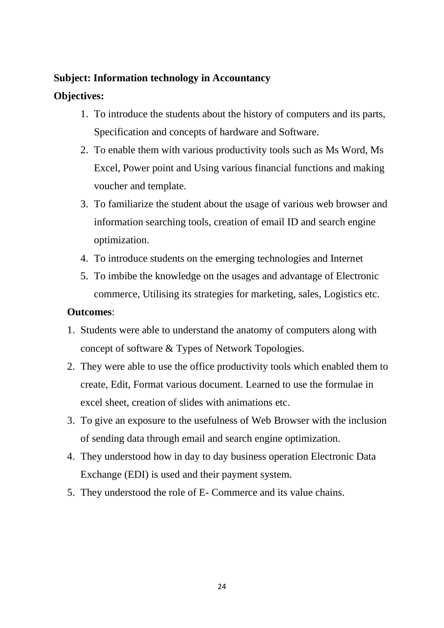## **Subject: Information technology in Accountancy**

# **Objectives:**

- 1. To introduce the students about the history of computers and its parts, Specification and concepts of hardware and Software.
- 2. To enable them with various productivity tools such as Ms Word, Ms Excel, Power point and Using various financial functions and making voucher and template.
- 3. To familiarize the student about the usage of various web browser and information searching tools, creation of email ID and search engine optimization.
- 4. To introduce students on the emerging technologies and Internet
- 5. To imbibe the knowledge on the usages and advantage of Electronic commerce, Utilising its strategies for marketing, sales, Logistics etc.

- 1. Students were able to understand the anatomy of computers along with concept of software & Types of Network Topologies.
- 2. They were able to use the office productivity tools which enabled them to create, Edit, Format various document. Learned to use the formulae in excel sheet, creation of slides with animations etc.
- 3. To give an exposure to the usefulness of Web Browser with the inclusion of sending data through email and search engine optimization.
- 4. They understood how in day to day business operation Electronic Data Exchange (EDI) is used and their payment system.
- 5. They understood the role of E- Commerce and its value chains.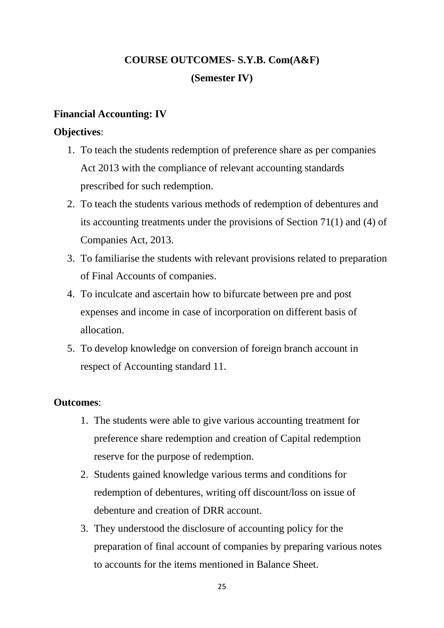# **COURSE OUTCOMES- S.Y.B. Com(A&F) (Semester IV)**

## **Financial Accounting: IV**

## **Objectives**:

- 1. To teach the students redemption of preference share as per companies Act 2013 with the compliance of relevant accounting standards prescribed for such redemption.
- 2. To teach the students various methods of redemption of debentures and its accounting treatments under the provisions of Section 71(1) and (4) of Companies Act, 2013.
- 3. To familiarise the students with relevant provisions related to preparation of Final Accounts of companies.
- 4. To inculcate and ascertain how to bifurcate between pre and post expenses and income in case of incorporation on different basis of allocation.
- 5. To develop knowledge on conversion of foreign branch account in respect of Accounting standard 11.

- 1. The students were able to give various accounting treatment for preference share redemption and creation of Capital redemption reserve for the purpose of redemption.
- 2. Students gained knowledge various terms and conditions for redemption of debentures, writing off discount/loss on issue of debenture and creation of DRR account.
- 3. They understood the disclosure of accounting policy for the preparation of final account of companies by preparing various notes to accounts for the items mentioned in Balance Sheet.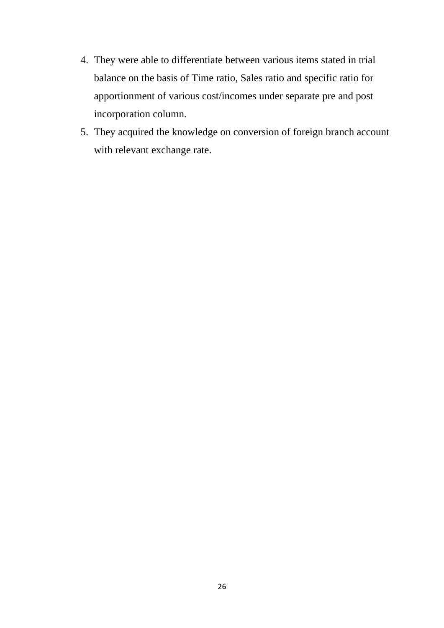- 4. They were able to differentiate between various items stated in trial balance on the basis of Time ratio, Sales ratio and specific ratio for apportionment of various cost/incomes under separate pre and post incorporation column.
- 5. They acquired the knowledge on conversion of foreign branch account with relevant exchange rate.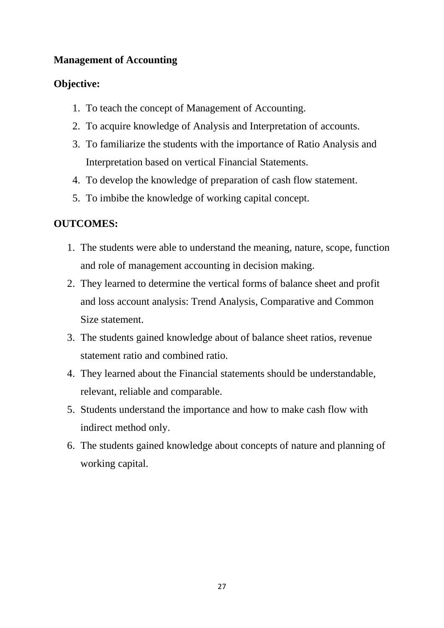# **Management of Accounting**

# **Objective:**

- 1. To teach the concept of Management of Accounting.
- 2. To acquire knowledge of Analysis and Interpretation of accounts.
- 3. To familiarize the students with the importance of Ratio Analysis and Interpretation based on vertical Financial Statements.
- 4. To develop the knowledge of preparation of cash flow statement.
- 5. To imbibe the knowledge of working capital concept.

# **OUTCOMES:**

- 1. The students were able to understand the meaning, nature, scope, function and role of management accounting in decision making.
- 2. They learned to determine the vertical forms of balance sheet and profit and loss account analysis: Trend Analysis, Comparative and Common Size statement.
- 3. The students gained knowledge about of balance sheet ratios, revenue statement ratio and combined ratio.
- 4. They learned about the Financial statements should be understandable, relevant, reliable and comparable.
- 5. Students understand the importance and how to make cash flow with indirect method only.
- 6. The students gained knowledge about concepts of nature and planning of working capital.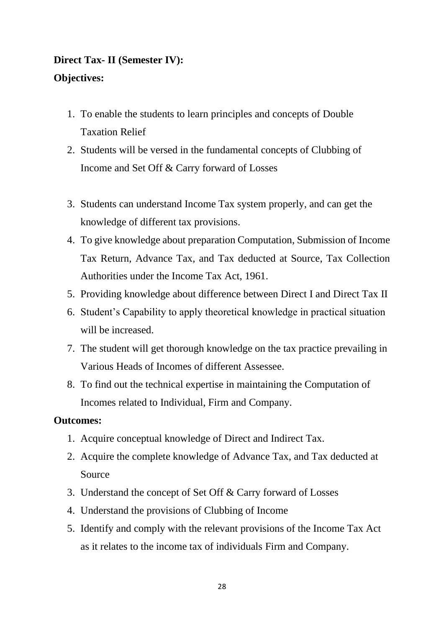# **Direct Tax- II (Semester IV): Objectives:**

- 1. To enable the students to learn principles and concepts of Double Taxation Relief
- 2. Students will be versed in the fundamental concepts of Clubbing of Income and Set Off & Carry forward of Losses
- 3. Students can understand Income Tax system properly, and can get the knowledge of different tax provisions.
- 4. To give knowledge about preparation Computation, Submission of Income Tax Return, Advance Tax, and Tax deducted at Source, Tax Collection Authorities under the Income Tax Act, 1961.
- 5. Providing knowledge about difference between Direct I and Direct Tax II
- 6. Student's Capability to apply theoretical knowledge in practical situation will be increased.
- 7. The student will get thorough knowledge on the tax practice prevailing in Various Heads of Incomes of different Assessee.
- 8. To find out the technical expertise in maintaining the Computation of Incomes related to Individual, Firm and Company.

- 1. Acquire conceptual knowledge of Direct and Indirect Tax.
- 2. Acquire the complete knowledge of Advance Tax, and Tax deducted at Source
- 3. Understand the concept of Set Off & Carry forward of Losses
- 4. Understand the provisions of Clubbing of Income
- 5. Identify and comply with the relevant provisions of the Income Tax Act as it relates to the income tax of individuals Firm and Company.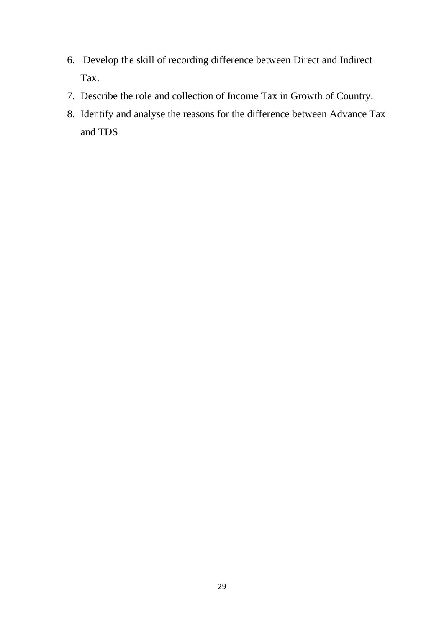- 6. Develop the skill of recording difference between Direct and Indirect Tax.
- 7. Describe the role and collection of Income Tax in Growth of Country.
- 8. Identify and analyse the reasons for the difference between Advance Tax and TDS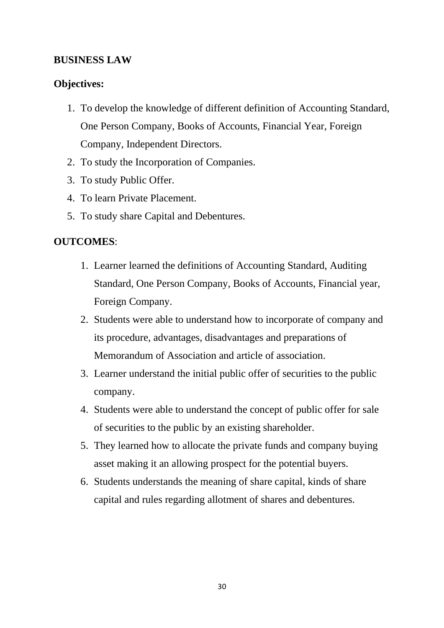## **BUSINESS LAW**

#### **Objectives:**

- 1. To develop the knowledge of different definition of Accounting Standard, One Person Company, Books of Accounts, Financial Year, Foreign Company, Independent Directors.
- 2. To study the Incorporation of Companies.
- 3. To study Public Offer.
- 4. To learn Private Placement.
- 5. To study share Capital and Debentures.

#### **OUTCOMES**:

- 1. Learner learned the definitions of Accounting Standard, Auditing Standard, One Person Company, Books of Accounts, Financial year, Foreign Company.
- 2. Students were able to understand how to incorporate of company and its procedure, advantages, disadvantages and preparations of Memorandum of Association and article of association.
- 3. Learner understand the initial public offer of securities to the public company.
- 4. Students were able to understand the concept of public offer for sale of securities to the public by an existing shareholder.
- 5. They learned how to allocate the private funds and company buying asset making it an allowing prospect for the potential buyers.
- 6. Students understands the meaning of share capital, kinds of share capital and rules regarding allotment of shares and debentures.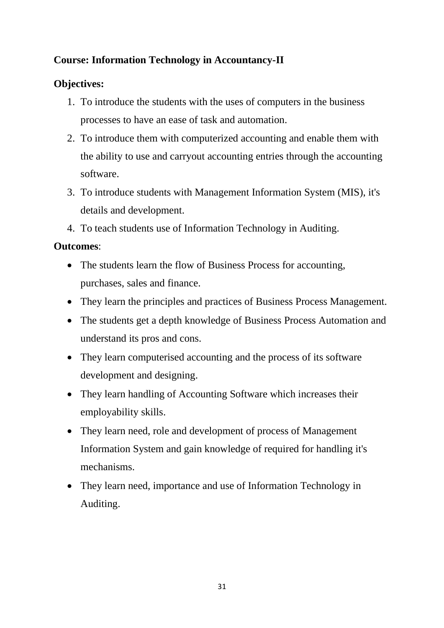# **Course: Information Technology in Accountancy-II**

# **Objectives:**

- 1. To introduce the students with the uses of computers in the business processes to have an ease of task and automation.
- 2. To introduce them with computerized accounting and enable them with the ability to use and carryout accounting entries through the accounting software.
- 3. To introduce students with Management Information System (MIS), it's details and development.
- 4. To teach students use of Information Technology in Auditing.

- The students learn the flow of Business Process for accounting, purchases, sales and finance.
- They learn the principles and practices of Business Process Management.
- The students get a depth knowledge of Business Process Automation and understand its pros and cons.
- They learn computerised accounting and the process of its software development and designing.
- They learn handling of Accounting Software which increases their employability skills.
- They learn need, role and development of process of Management Information System and gain knowledge of required for handling it's mechanisms.
- They learn need, importance and use of Information Technology in Auditing.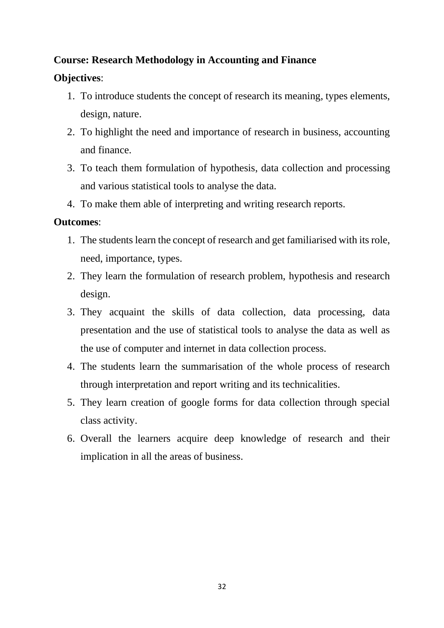# **Course: Research Methodology in Accounting and Finance**

## **Objectives**:

- 1. To introduce students the concept of research its meaning, types elements, design, nature.
- 2. To highlight the need and importance of research in business, accounting and finance.
- 3. To teach them formulation of hypothesis, data collection and processing and various statistical tools to analyse the data.
- 4. To make them able of interpreting and writing research reports.

- 1. The students learn the concept of research and get familiarised with its role, need, importance, types.
- 2. They learn the formulation of research problem, hypothesis and research design.
- 3. They acquaint the skills of data collection, data processing, data presentation and the use of statistical tools to analyse the data as well as the use of computer and internet in data collection process.
- 4. The students learn the summarisation of the whole process of research through interpretation and report writing and its technicalities.
- 5. They learn creation of google forms for data collection through special class activity.
- 6. Overall the learners acquire deep knowledge of research and their implication in all the areas of business.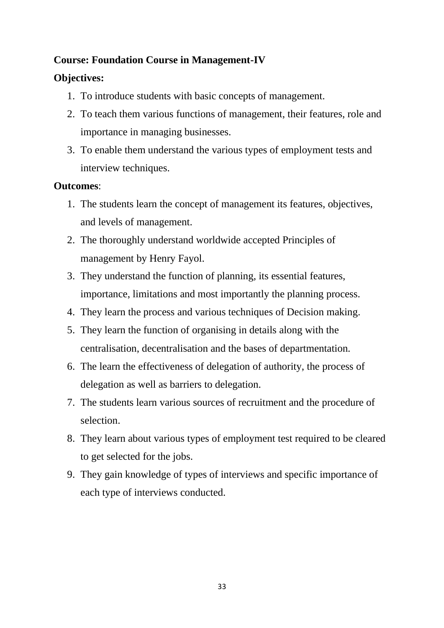# **Course: Foundation Course in Management-IV**

## **Objectives:**

- 1. To introduce students with basic concepts of management.
- 2. To teach them various functions of management, their features, role and importance in managing businesses.
- 3. To enable them understand the various types of employment tests and interview techniques.

- 1. The students learn the concept of management its features, objectives, and levels of management.
- 2. The thoroughly understand worldwide accepted Principles of management by Henry Fayol.
- 3. They understand the function of planning, its essential features, importance, limitations and most importantly the planning process.
- 4. They learn the process and various techniques of Decision making.
- 5. They learn the function of organising in details along with the centralisation, decentralisation and the bases of departmentation.
- 6. The learn the effectiveness of delegation of authority, the process of delegation as well as barriers to delegation.
- 7. The students learn various sources of recruitment and the procedure of selection.
- 8. They learn about various types of employment test required to be cleared to get selected for the jobs.
- 9. They gain knowledge of types of interviews and specific importance of each type of interviews conducted.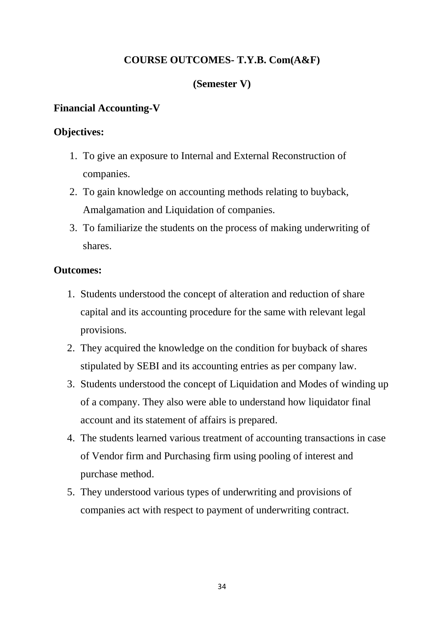## **COURSE OUTCOMES- T.Y.B. Com(A&F)**

#### **(Semester V)**

#### **Financial Accounting-V**

#### **Objectives:**

- 1. To give an exposure to Internal and External Reconstruction of companies.
- 2. To gain knowledge on accounting methods relating to buyback, Amalgamation and Liquidation of companies.
- 3. To familiarize the students on the process of making underwriting of shares.

- 1. Students understood the concept of alteration and reduction of share capital and its accounting procedure for the same with relevant legal provisions.
- 2. They acquired the knowledge on the condition for buyback of shares stipulated by SEBI and its accounting entries as per company law.
- 3. Students understood the concept of Liquidation and Modes of winding up of a company. They also were able to understand how liquidator final account and its statement of affairs is prepared.
- 4. The students learned various treatment of accounting transactions in case of Vendor firm and Purchasing firm using pooling of interest and purchase method.
- 5. They understood various types of underwriting and provisions of companies act with respect to payment of underwriting contract.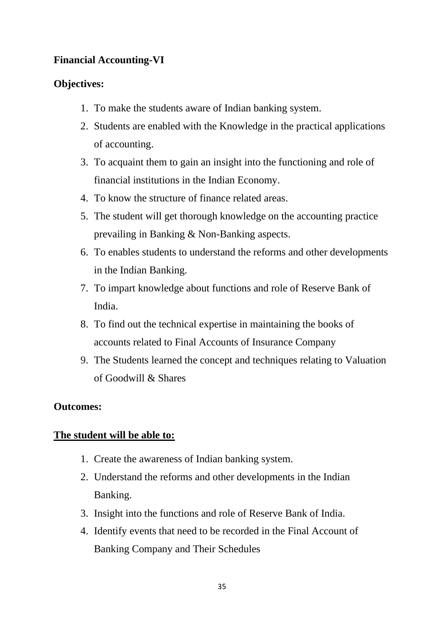# **Financial Accounting-VI**

# **Objectives:**

- 1. To make the students aware of Indian banking system.
- 2. Students are enabled with the Knowledge in the practical applications of accounting.
- 3. To acquaint them to gain an insight into the functioning and role of financial institutions in the Indian Economy.
- 4. To know the structure of finance related areas.
- 5. The student will get thorough knowledge on the accounting practice prevailing in Banking & Non-Banking aspects.
- 6. To enables students to understand the reforms and other developments in the Indian Banking.
- 7. To impart knowledge about functions and role of Reserve Bank of India.
- 8. To find out the technical expertise in maintaining the books of accounts related to Final Accounts of Insurance Company
- 9. The Students learned the concept and techniques relating to Valuation of Goodwill & Shares

# **Outcomes:**

# **The student will be able to:**

- 1. Create the awareness of Indian banking system.
- 2. Understand the reforms and other developments in the Indian Banking.
- 3. Insight into the functions and role of Reserve Bank of India.
- 4. Identify events that need to be recorded in the Final Account of Banking Company and Their Schedules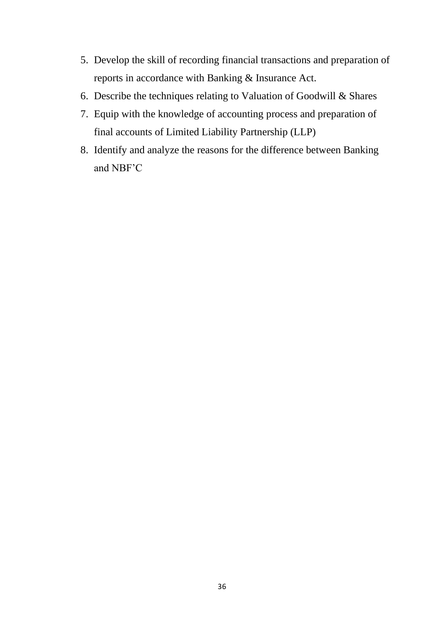- 5. Develop the skill of recording financial transactions and preparation of reports in accordance with Banking & Insurance Act.
- 6. Describe the techniques relating to Valuation of Goodwill & Shares
- 7. Equip with the knowledge of accounting process and preparation of final accounts of Limited Liability Partnership (LLP)
- 8. Identify and analyze the reasons for the difference between Banking and NBF'C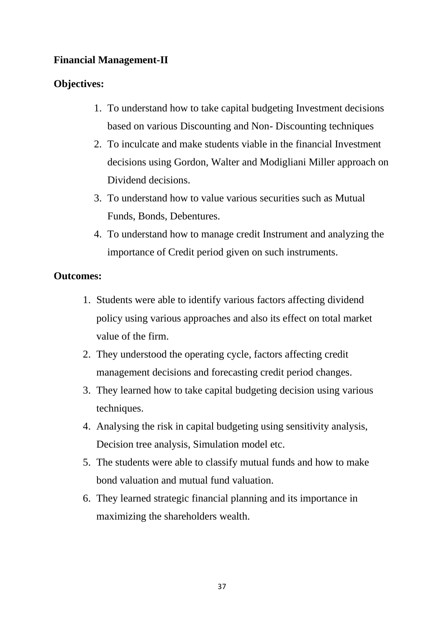## **Financial Management-II**

## **Objectives:**

- 1. To understand how to take capital budgeting Investment decisions based on various Discounting and Non- Discounting techniques
- 2. To inculcate and make students viable in the financial Investment decisions using Gordon, Walter and Modigliani Miller approach on Dividend decisions.
- 3. To understand how to value various securities such as Mutual Funds, Bonds, Debentures.
- 4. To understand how to manage credit Instrument and analyzing the importance of Credit period given on such instruments.

- 1. Students were able to identify various factors affecting dividend policy using various approaches and also its effect on total market value of the firm.
- 2. They understood the operating cycle, factors affecting credit management decisions and forecasting credit period changes.
- 3. They learned how to take capital budgeting decision using various techniques.
- 4. Analysing the risk in capital budgeting using sensitivity analysis, Decision tree analysis, Simulation model etc.
- 5. The students were able to classify mutual funds and how to make bond valuation and mutual fund valuation.
- 6. They learned strategic financial planning and its importance in maximizing the shareholders wealth.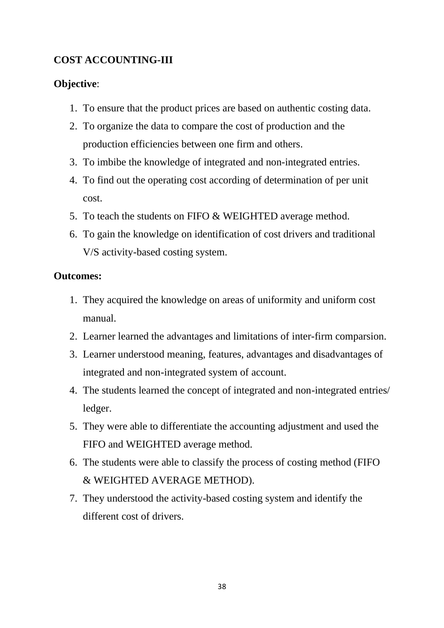# **COST ACCOUNTING-III**

## **Objective**:

- 1. To ensure that the product prices are based on authentic costing data.
- 2. To organize the data to compare the cost of production and the production efficiencies between one firm and others.
- 3. To imbibe the knowledge of integrated and non-integrated entries.
- 4. To find out the operating cost according of determination of per unit cost.
- 5. To teach the students on FIFO & WEIGHTED average method.
- 6. To gain the knowledge on identification of cost drivers and traditional V/S activity-based costing system.

- 1. They acquired the knowledge on areas of uniformity and uniform cost manual.
- 2. Learner learned the advantages and limitations of inter-firm comparsion.
- 3. Learner understood meaning, features, advantages and disadvantages of integrated and non-integrated system of account.
- 4. The students learned the concept of integrated and non-integrated entries/ ledger.
- 5. They were able to differentiate the accounting adjustment and used the FIFO and WEIGHTED average method.
- 6. The students were able to classify the process of costing method (FIFO & WEIGHTED AVERAGE METHOD).
- 7. They understood the activity-based costing system and identify the different cost of drivers.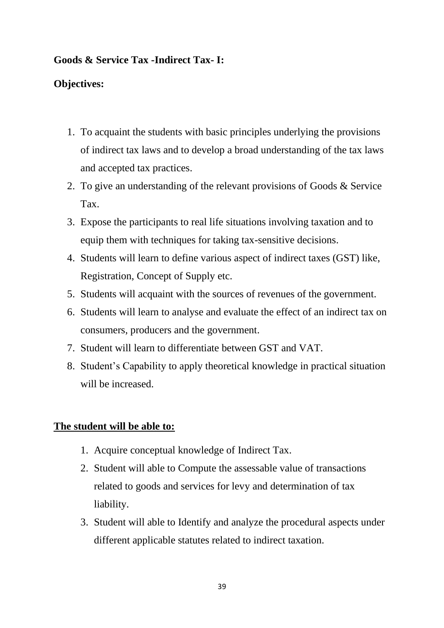## **Goods & Service Tax -Indirect Tax- I:**

## **Objectives:**

- 1. To acquaint the students with basic principles underlying the provisions of indirect tax laws and to develop a broad understanding of the tax laws and accepted tax practices.
- 2. To give an understanding of the relevant provisions of Goods & Service Tax.
- 3. Expose the participants to real life situations involving taxation and to equip them with techniques for taking tax-sensitive decisions.
- 4. Students will learn to define various aspect of indirect taxes (GST) like, Registration, Concept of Supply etc.
- 5. Students will acquaint with the sources of revenues of the government.
- 6. Students will learn to analyse and evaluate the effect of an indirect tax on consumers, producers and the government.
- 7. Student will learn to differentiate between GST and VAT.
- 8. Student's Capability to apply theoretical knowledge in practical situation will be increased.

## **The student will be able to:**

- 1. Acquire conceptual knowledge of Indirect Tax.
- 2. Student will able to Compute the assessable value of transactions related to goods and services for levy and determination of tax liability.
- 3. Student will able to Identify and analyze the procedural aspects under different applicable statutes related to indirect taxation.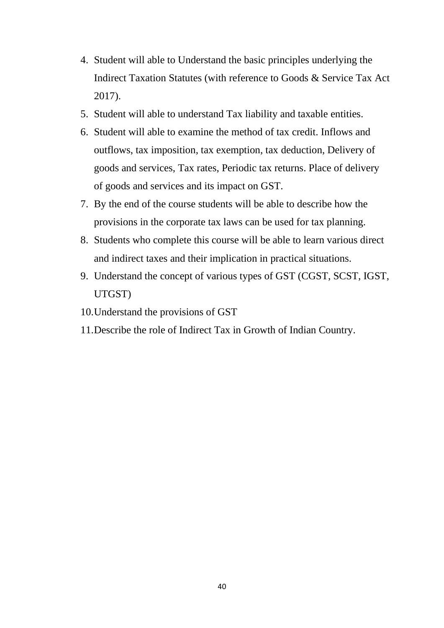- 4. Student will able to Understand the basic principles underlying the Indirect Taxation Statutes (with reference to Goods & Service Tax Act 2017).
- 5. Student will able to understand Tax liability and taxable entities.
- 6. Student will able to examine the method of tax credit. Inflows and outflows, tax imposition, tax exemption, tax deduction, Delivery of goods and services, Tax rates, Periodic tax returns. Place of delivery of goods and services and its impact on GST.
- 7. By the end of the course students will be able to describe how the provisions in the corporate tax laws can be used for tax planning.
- 8. Students who complete this course will be able to learn various direct and indirect taxes and their implication in practical situations.
- 9. Understand the concept of various types of GST (CGST, SCST, IGST, UTGST)
- 10.Understand the provisions of GST
- 11.Describe the role of Indirect Tax in Growth of Indian Country.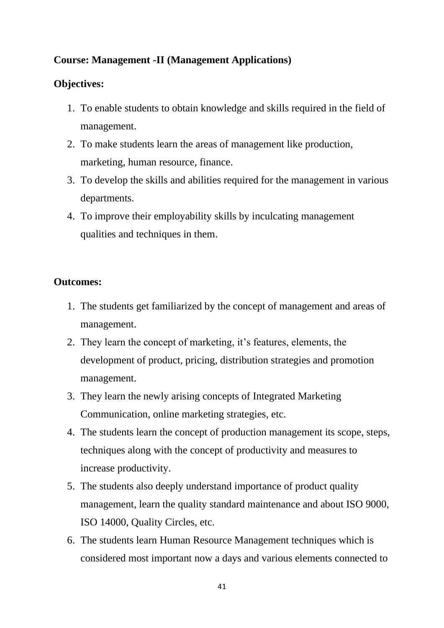# **Course: Management -II (Management Applications)**

#### **Objectives:**

- 1. To enable students to obtain knowledge and skills required in the field of management.
- 2. To make students learn the areas of management like production, marketing, human resource, finance.
- 3. To develop the skills and abilities required for the management in various departments.
- 4. To improve their employability skills by inculcating management qualities and techniques in them.

- 1. The students get familiarized by the concept of management and areas of management.
- 2. They learn the concept of marketing, it's features, elements, the development of product, pricing, distribution strategies and promotion management.
- 3. They learn the newly arising concepts of Integrated Marketing Communication, online marketing strategies, etc.
- 4. The students learn the concept of production management its scope, steps, techniques along with the concept of productivity and measures to increase productivity.
- 5. The students also deeply understand importance of product quality management, learn the quality standard maintenance and about ISO 9000, ISO 14000, Quality Circles, etc.
- 6. The students learn Human Resource Management techniques which is considered most important now a days and various elements connected to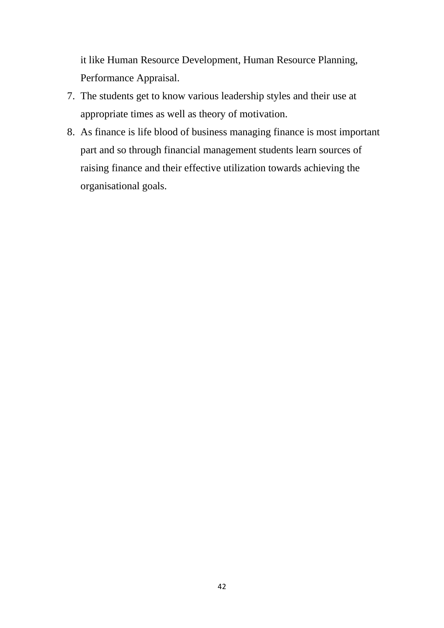it like Human Resource Development, Human Resource Planning, Performance Appraisal.

- 7. The students get to know various leadership styles and their use at appropriate times as well as theory of motivation.
- 8. As finance is life blood of business managing finance is most important part and so through financial management students learn sources of raising finance and their effective utilization towards achieving the organisational goals.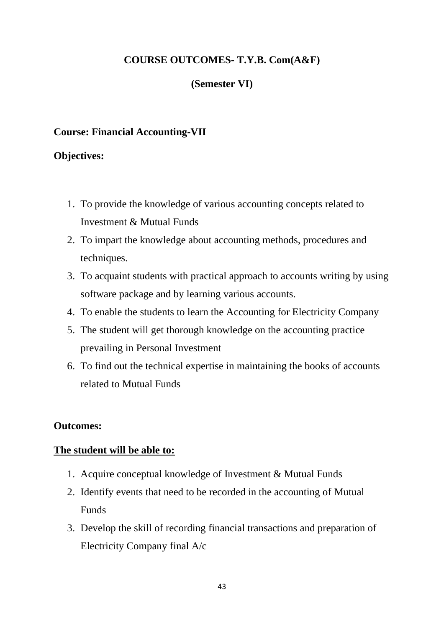## **COURSE OUTCOMES- T.Y.B. Com(A&F)**

#### **(Semester VI)**

#### **Course: Financial Accounting-VII**

#### **Objectives:**

- 1. To provide the knowledge of various accounting concepts related to Investment & Mutual Funds
- 2. To impart the knowledge about accounting methods, procedures and techniques.
- 3. To acquaint students with practical approach to accounts writing by using software package and by learning various accounts.
- 4. To enable the students to learn the Accounting for Electricity Company
- 5. The student will get thorough knowledge on the accounting practice prevailing in Personal Investment
- 6. To find out the technical expertise in maintaining the books of accounts related to Mutual Funds

#### **Outcomes:**

#### **The student will be able to:**

- 1. Acquire conceptual knowledge of Investment & Mutual Funds
- 2. Identify events that need to be recorded in the accounting of Mutual Funds
- 3. Develop the skill of recording financial transactions and preparation of Electricity Company final A/c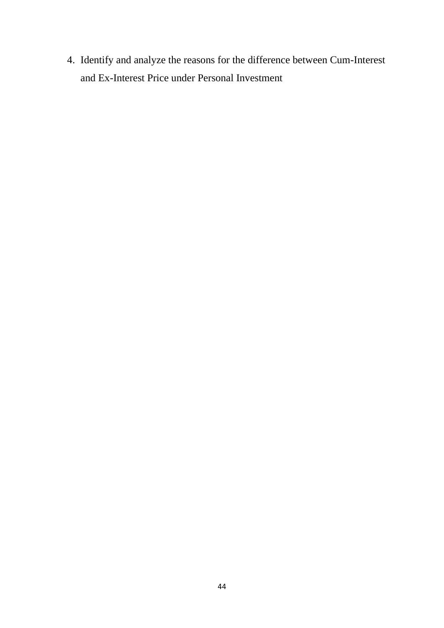4. Identify and analyze the reasons for the difference between Cum-Interest and Ex-Interest Price under Personal Investment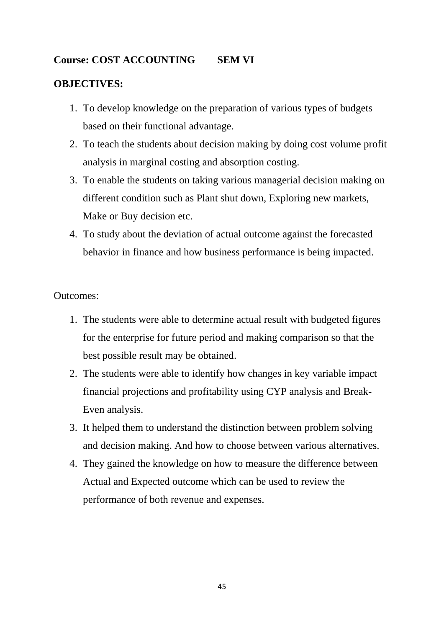## **Course: COST ACCOUNTING SEM VI**

## **OBJECTIVES:**

- 1. To develop knowledge on the preparation of various types of budgets based on their functional advantage.
- 2. To teach the students about decision making by doing cost volume profit analysis in marginal costing and absorption costing.
- 3. To enable the students on taking various managerial decision making on different condition such as Plant shut down, Exploring new markets, Make or Buy decision etc.
- 4. To study about the deviation of actual outcome against the forecasted behavior in finance and how business performance is being impacted.

- 1. The students were able to determine actual result with budgeted figures for the enterprise for future period and making comparison so that the best possible result may be obtained.
- 2. The students were able to identify how changes in key variable impact financial projections and profitability using CYP analysis and Break-Even analysis.
- 3. It helped them to understand the distinction between problem solving and decision making. And how to choose between various alternatives.
- 4. They gained the knowledge on how to measure the difference between Actual and Expected outcome which can be used to review the performance of both revenue and expenses.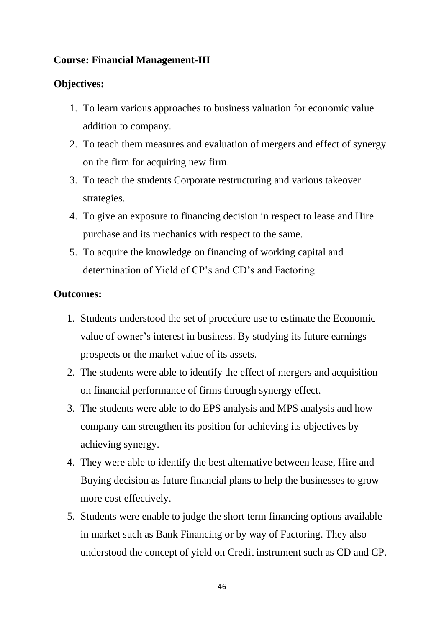# **Course: Financial Management-III**

#### **Objectives:**

- 1. To learn various approaches to business valuation for economic value addition to company.
- 2. To teach them measures and evaluation of mergers and effect of synergy on the firm for acquiring new firm.
- 3. To teach the students Corporate restructuring and various takeover strategies.
- 4. To give an exposure to financing decision in respect to lease and Hire purchase and its mechanics with respect to the same.
- 5. To acquire the knowledge on financing of working capital and determination of Yield of CP's and CD's and Factoring.

- 1. Students understood the set of procedure use to estimate the Economic value of owner's interest in business. By studying its future earnings prospects or the market value of its assets.
- 2. The students were able to identify the effect of mergers and acquisition on financial performance of firms through synergy effect.
- 3. The students were able to do EPS analysis and MPS analysis and how company can strengthen its position for achieving its objectives by achieving synergy.
- 4. They were able to identify the best alternative between lease, Hire and Buying decision as future financial plans to help the businesses to grow more cost effectively.
- 5. Students were enable to judge the short term financing options available in market such as Bank Financing or by way of Factoring. They also understood the concept of yield on Credit instrument such as CD and CP.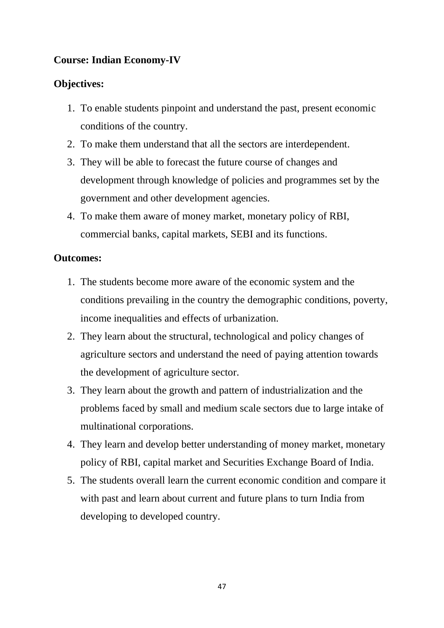# **Course: Indian Economy-IV**

# **Objectives:**

- 1. To enable students pinpoint and understand the past, present economic conditions of the country.
- 2. To make them understand that all the sectors are interdependent.
- 3. They will be able to forecast the future course of changes and development through knowledge of policies and programmes set by the government and other development agencies.
- 4. To make them aware of money market, monetary policy of RBI, commercial banks, capital markets, SEBI and its functions.

- 1. The students become more aware of the economic system and the conditions prevailing in the country the demographic conditions, poverty, income inequalities and effects of urbanization.
- 2. They learn about the structural, technological and policy changes of agriculture sectors and understand the need of paying attention towards the development of agriculture sector.
- 3. They learn about the growth and pattern of industrialization and the problems faced by small and medium scale sectors due to large intake of multinational corporations.
- 4. They learn and develop better understanding of money market, monetary policy of RBI, capital market and Securities Exchange Board of India.
- 5. The students overall learn the current economic condition and compare it with past and learn about current and future plans to turn India from developing to developed country.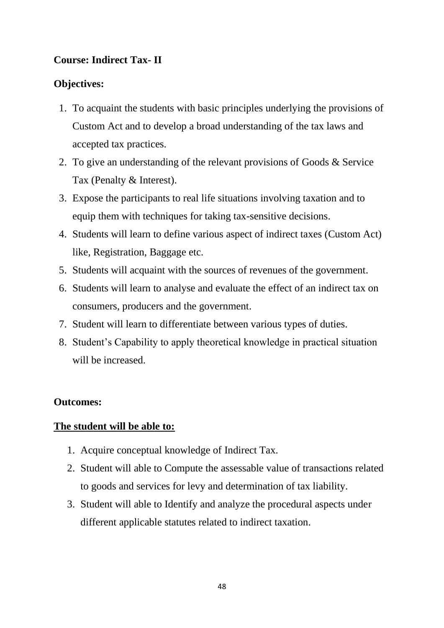# **Course: Indirect Tax- II**

## **Objectives:**

- 1. To acquaint the students with basic principles underlying the provisions of Custom Act and to develop a broad understanding of the tax laws and accepted tax practices.
- 2. To give an understanding of the relevant provisions of Goods & Service Tax (Penalty & Interest).
- 3. Expose the participants to real life situations involving taxation and to equip them with techniques for taking tax-sensitive decisions.
- 4. Students will learn to define various aspect of indirect taxes (Custom Act) like, Registration, Baggage etc.
- 5. Students will acquaint with the sources of revenues of the government.
- 6. Students will learn to analyse and evaluate the effect of an indirect tax on consumers, producers and the government.
- 7. Student will learn to differentiate between various types of duties.
- 8. Student's Capability to apply theoretical knowledge in practical situation will be increased.

## **Outcomes:**

## **The student will be able to:**

- 1. Acquire conceptual knowledge of Indirect Tax.
- 2. Student will able to Compute the assessable value of transactions related to goods and services for levy and determination of tax liability.
- 3. Student will able to Identify and analyze the procedural aspects under different applicable statutes related to indirect taxation.